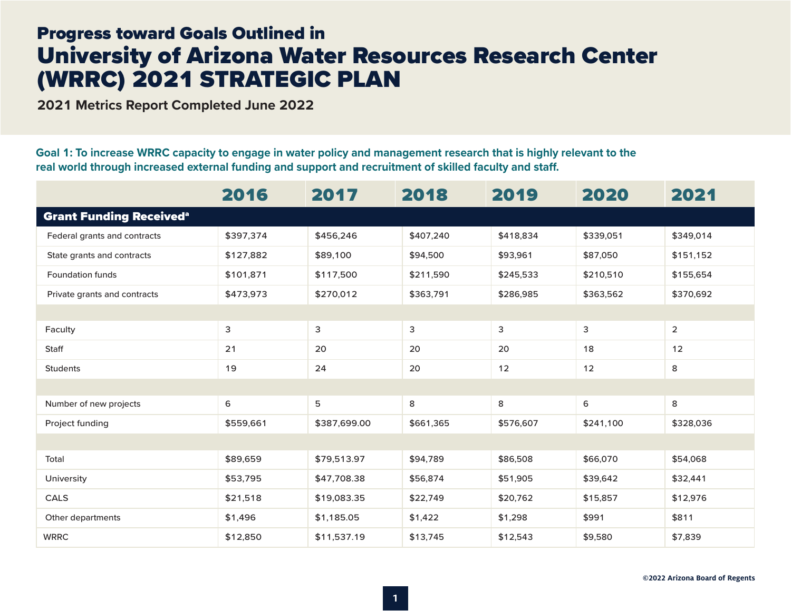## Progress toward Goals Outlined in University of Arizona Water Resources Research Center (WRRC) 2021 STRATEGIC PLAN

**2021 Metrics Report Completed June 2022**

**Goal 1: To increase WRRC capacity to engage in water policy and management research that is highly relevant to the real world through increased external funding and support and recruitment of skilled faculty and staff.**

|                                           | 2016      | 2017         | 2018      | 2019      | 2020      | 2021           |  |
|-------------------------------------------|-----------|--------------|-----------|-----------|-----------|----------------|--|
| <b>Grant Funding Received<sup>a</sup></b> |           |              |           |           |           |                |  |
| Federal grants and contracts              | \$397,374 | \$456,246    | \$407,240 | \$418,834 | \$339,051 | \$349,014      |  |
| State grants and contracts                | \$127,882 | \$89,100     | \$94,500  | \$93,961  | \$87,050  | \$151,152      |  |
| <b>Foundation funds</b>                   | \$101,871 | \$117,500    | \$211,590 | \$245,533 | \$210,510 | \$155,654      |  |
| Private grants and contracts              | \$473,973 | \$270,012    | \$363,791 | \$286,985 |           | \$370,692      |  |
|                                           |           |              |           |           |           |                |  |
| Faculty                                   | 3         | 3            | 3         | 3         | 3         | $\overline{2}$ |  |
| Staff                                     | 21        | 20           | 20        | 20        | 18        | 12             |  |
| <b>Students</b>                           | 19        | 24           | 20        | 12        | 12        | 8              |  |
|                                           |           |              |           |           |           |                |  |
| Number of new projects                    | 6         | 5            | 8         | 8         | 6         | 8              |  |
| Project funding                           | \$559,661 | \$387,699.00 | \$661,365 | \$576,607 | \$241,100 | \$328,036      |  |
|                                           |           |              |           |           |           |                |  |
| Total                                     | \$89,659  | \$79,513.97  | \$94,789  | \$86,508  | \$66,070  | \$54,068       |  |
| University                                | \$53,795  | \$47,708.38  | \$56,874  | \$51,905  | \$39,642  | \$32,441       |  |
| CALS                                      | \$21,518  | \$19,083.35  | \$22,749  | \$20,762  | \$15,857  | \$12,976       |  |
| Other departments                         | \$1,496   | \$1,185.05   | \$1,422   | \$1,298   | \$991     | \$811          |  |
| <b>WRRC</b>                               | \$12,850  | \$11,537.19  | \$13,745  | \$12,543  | \$9,580   | \$7,839        |  |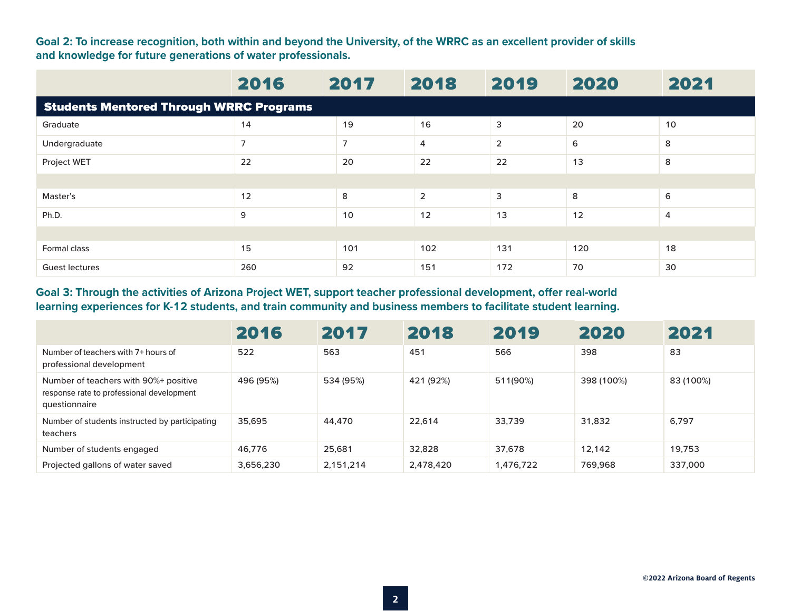**Goal 2: To increase recognition, both within and beyond the University, of the WRRC as an excellent provider of skills and knowledge for future generations of water professionals.**

|                                                | 2016 | 2017           | 2018           | 2019           | 2020 | 2021           |  |  |
|------------------------------------------------|------|----------------|----------------|----------------|------|----------------|--|--|
| <b>Students Mentored Through WRRC Programs</b> |      |                |                |                |      |                |  |  |
| Graduate                                       | 14   | 19             | 16             | 3              | 20   | 10             |  |  |
| Undergraduate                                  | 7    | $\overline{7}$ | 4              | $\overline{2}$ | 6    | 8              |  |  |
| Project WET                                    | 22   | 20             | 22             | 22             | 13   | 8              |  |  |
|                                                |      |                |                |                |      |                |  |  |
| Master's                                       | 12   | 8              | $\overline{2}$ | $\mathsf 3$    | 8    | 6              |  |  |
| Ph.D.                                          | 9    | 10             | 12             | 13             | 12   | $\overline{4}$ |  |  |
|                                                |      |                |                |                |      |                |  |  |
| Formal class                                   | 15   | 101            | 102            | 131            | 120  | 18             |  |  |
| <b>Guest lectures</b>                          | 260  | 92             | 151            | 172            | 70   | 30             |  |  |

## **Goal 3: Through the activities of Arizona Project WET, support teacher professional development, offer real-world learning experiences for K-12 students, and train community and business members to facilitate student learning.**

|                                                                                                     | 2016      | 2017      | 2018      | 2019      | 2020       | 2021      |
|-----------------------------------------------------------------------------------------------------|-----------|-----------|-----------|-----------|------------|-----------|
| Number of teachers with 7+ hours of<br>professional development                                     | 522       | 563       | 451       | 566       | 398        | 83        |
| Number of teachers with 90%+ positive<br>response rate to professional development<br>questionnaire | 496 (95%) | 534 (95%) | 421 (92%) | 511(90%)  | 398 (100%) | 83 (100%) |
| Number of students instructed by participating<br>teachers                                          | 35.695    | 44.470    | 22.614    | 33.739    | 31.832     | 6,797     |
| Number of students engaged                                                                          | 46.776    | 25.681    | 32,828    | 37.678    | 12.142     | 19.753    |
| Projected gallons of water saved                                                                    | 3,656,230 | 2.151.214 | 2,478,420 | 1,476,722 | 769.968    | 337,000   |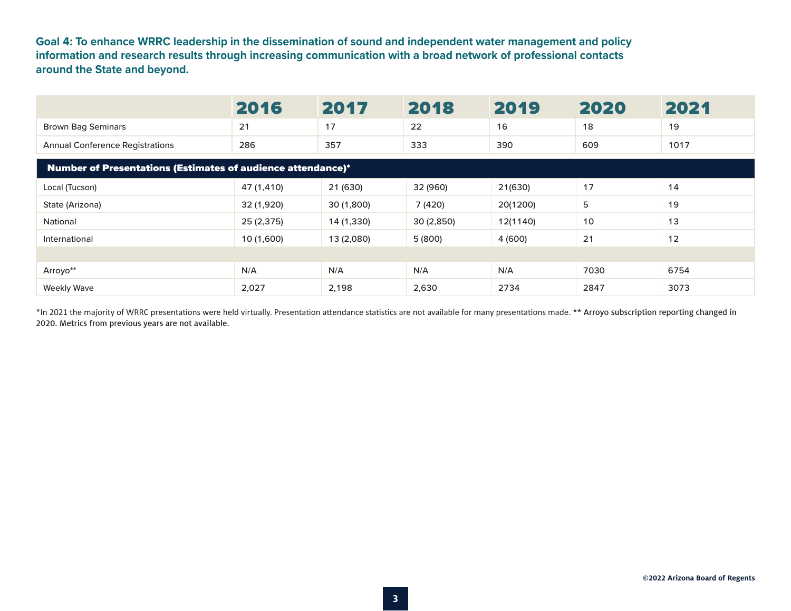**Goal 4: To enhance WRRC leadership in the dissemination of sound and independent water management and policy information and research results through increasing communication with a broad network of professional contacts around the State and beyond.**

|                                                                    | 2016       | 2017       | 2018      | 2019     | 2020 | 2021 |  |  |  |  |
|--------------------------------------------------------------------|------------|------------|-----------|----------|------|------|--|--|--|--|
| <b>Brown Bag Seminars</b>                                          | 21         | 17         | 22        | 16       | 18   | 19   |  |  |  |  |
| <b>Annual Conference Registrations</b>                             | 286        | 357        | 333       | 390      | 609  | 1017 |  |  |  |  |
| <b>Number of Presentations (Estimates of audience attendance)*</b> |            |            |           |          |      |      |  |  |  |  |
| Local (Tucson)                                                     | 47 (1,410) | 21 (630)   | 32 (960)  | 21(630)  | 17   | 14   |  |  |  |  |
| State (Arizona)                                                    | 32 (1,920) | 30 (1,800) | 7 (420)   | 20(1200) | 5    | 19   |  |  |  |  |
| National                                                           | 25 (2,375) | 14 (1,330) | 30(2,850) | 12(1140) | 10   | 13   |  |  |  |  |
| International                                                      | 10 (1,600) | 13 (2,080) | 5 (800)   | 4 (600)  | 21   | 12   |  |  |  |  |
|                                                                    |            |            |           |          |      |      |  |  |  |  |
| Arroyo**                                                           | N/A        | N/A        | N/A       | N/A      | 7030 | 6754 |  |  |  |  |
| <b>Weekly Wave</b>                                                 | 2,027      | 2,198      | 2,630     | 2734     | 2847 | 3073 |  |  |  |  |

\*In 2021 the majority of WRRC presentations were held virtually. Presentation attendance statistics are not available for many presentations made. \*\* Arroyo subscription reporting changed in 2020. Metrics from previous years are not available.